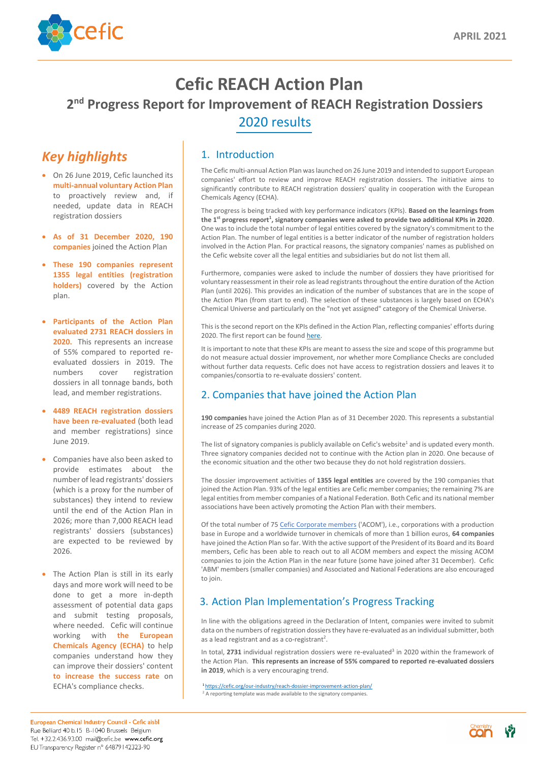

# **Cefic REACH Action Plan 2<sup>nd</sup> Progress Report for Improvement of REACH Registration Dossiers** 2020 results

### 1. Introduction

The Cefic multi-annual Action Plan was launched on 26 June 2019 and intended to support European companies' effort to review and improve REACH registration dossiers. The initiative aims to significantly contribute to REACH registration dossiers' quality in cooperation with the European Chemicals Agency (ECHA).

The progress is being tracked with key performance indicators (KPIs). **Based on the learnings from the 1st progress report<sup>1</sup> , signatory companies were asked to provide two additional KPIs in 2020**. One was to include the total number of legal entities covered by the signatory's commitment to the Action Plan. The number of legal entities is a better indicator of the number of registration holders involved in the Action Plan. For practical reasons, the signatory companies' names as published on the Cefic website cover all the legal entities and subsidiaries but do not list them all.

In line with the obligations agreed in the Declaration of Intent, companies were invited to submit data on the numbers of registration dossiers they have re-evaluated as an individual submitter, both as a lead registrant and as a co-registrant<sup>2</sup>.

In total, 2731 individual registration dossiers were re-evaluated<sup>3</sup> in 2020 within the framework of the Action Plan. **This represents an increase of 55% compared to reported re-evaluated dossiers in 2019**, which is a very encouraging trend.

ECHA's compliance checks. 1 <https://cefic.org/our-industry/reach-dossier-improvement-action-plan/>

Furthermore, companies were asked to include the number of dossiers they have prioritised for voluntary reassessment in their role as lead registrants throughout the entire duration of the Action Plan (until 2026). This provides an indication of the number of substances that are in the scope of the Action Plan (from start to end). The selection of these substances is largely based on ECHA's Chemical Universe and particularly on the "not yet assigned" category of the Chemical Universe.



The list of signatory companies is publicly available on Cefic's website<sup>1</sup> and is updated every month. Three signatory companies decided not to continue with the Action plan in 2020. One because of the economic situation and the other two because they do not hold registration dossiers.

This is the second report on the KPIs defined in the Action Plan, reflecting companies' efforts during 2020. The first report can be found [here.](https://cefic.org/app/uploads/2020/03/CEFIC-REACH-ACTION-PLAN-DOSSIER-UPDATE-AND-IMPROVEMENT-PROGRESS-REPORT-2019.pdf)

It is important to note that these KPIs are meant to assess the size and scope of this programme but do not measure actual dossier improvement, nor whether more Compliance Checks are concluded without further data requests. Cefic does not have access to registration dossiers and leaves it to companies/consortia to re-evaluate dossiers' content.

### 2. Companies that have joined the Action Plan

**[190 companies](https://cefic.org/app/uploads/2020/03/List-of-signatories-all-companies-who-joined-Action-Plan-in-2019.pdf)** have joined the Action Plan as of 31 December 2020. This represents a substantial increase of 25 companies during 2020.

• The Action Plan is still in its early days and more work will need to be done to get a more in-depth assessment of potential data gaps and submit testing proposals, where needed. Cefic will continue working with **the European Chemicals Agency (ECHA)** to help companies understand how they can improve their dossiers' content **to increase the success rate** on The dossier improvement activities of **1355 legal entities** are covered by the 190 companies that joined the Action Plan. 93% of the legal entities are Cefic member companies; the remaining 7% are legal entities from member companies of a National Federation. Both Cefic and its national member associations have been actively promoting the Action Plan with their members.

Of the total number of 75 [Cefic Corporate members](https://cefic.org/app/uploads/2019/11/List-of-Cefic-Corporate-Members-ACOM.pdf) ('ACOM'), i.e., corporations with a production base in Europe and a worldwide turnover in chemicals of more than 1 billion euros, **64 companies** have joined the Action Plan so far. With the active support of the President of its Board and its Board members, Cefic has been able to reach out to all ACOM members and expect the missing ACOM companies to join the Action Plan in the near future (some have joined after 31 December). Cefic 'ABM' members (smaller companies) and Associated and National Federations are also encouraged to join.

#### 3. Action Plan Implementation's Progress Tracking

## *Key highlights*

- On 26 June 2019, Cefic launched its **multi-annual voluntary Action Plan** to proactively review and, if needed, update data in REACH registration dossiers
- **As of 31 December 2020, 190 companies** joined the Action Plan
- **These 190 companies represent 1355 legal entities (registration holders)** covered by the Action plan.
- **Participants of the Action Plan evaluated 2731 REACH dossiers in 2020.** This represents an increase of 55% compared to reported reevaluated dossiers in 2019. The numbers cover registration dossiers in all tonnage bands, both lead, and member registrations.
- **4489 REACH registration dossiers have been re-evaluated** (both lead and member registrations) since June 2019.
- Companies have also been asked to provide estimates about the

number of lead registrants' dossiers (which is a proxy for the number of substances) they intend to review until the end of the Action Plan in 2026; more than 7,000 REACH lead registrants' dossiers (substances) are expected to be reviewed by 2026.

 $2$  A reporting template was made available to the signatory companies.